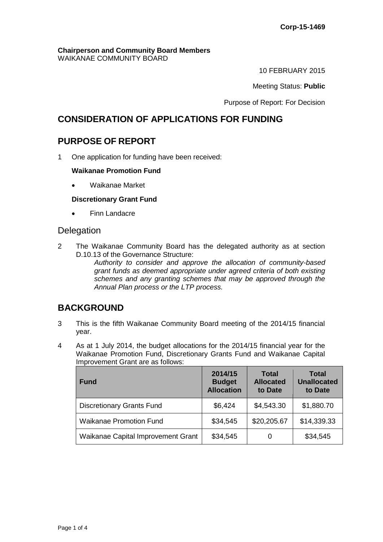#### **Chairperson and Community Board Members** WAIKANAE COMMUNITY BOARD

10 FEBRUARY 2015

Meeting Status: **Public**

Purpose of Report: For Decision

## **CONSIDERATION OF APPLICATIONS FOR FUNDING**

## **PURPOSE OF REPORT**

1 One application for funding have been received:

#### **Waikanae Promotion Fund**

Waikanae Market

#### **Discretionary Grant Fund**

• Finn Landacre

### **Delegation**

2 The Waikanae Community Board has the delegated authority as at section D.10.13 of the Governance Structure:

*Authority to consider and approve the allocation of community-based grant funds as deemed appropriate under agreed criteria of both existing schemes and any granting schemes that may be approved through the Annual Plan process or the LTP process.* 

## **BACKGROUND**

- 3 This is the fifth Waikanae Community Board meeting of the 2014/15 financial year.
- 4 As at 1 July 2014, the budget allocations for the 2014/15 financial year for the Waikanae Promotion Fund, Discretionary Grants Fund and Waikanae Capital Improvement Grant are as follows:

| <b>Fund</b>                        | 2014/15<br><b>Budget</b><br><b>Allocation</b> | <b>Total</b><br><b>Allocated</b><br>to Date | <b>Total</b><br><b>Unallocated</b><br>to Date |
|------------------------------------|-----------------------------------------------|---------------------------------------------|-----------------------------------------------|
| <b>Discretionary Grants Fund</b>   | \$6,424                                       | \$4,543.30                                  | \$1,880.70                                    |
| <b>Waikanae Promotion Fund</b>     | \$34,545                                      | \$20,205.67                                 | \$14,339.33                                   |
| Waikanae Capital Improvement Grant | \$34,545                                      | 0                                           | \$34,545                                      |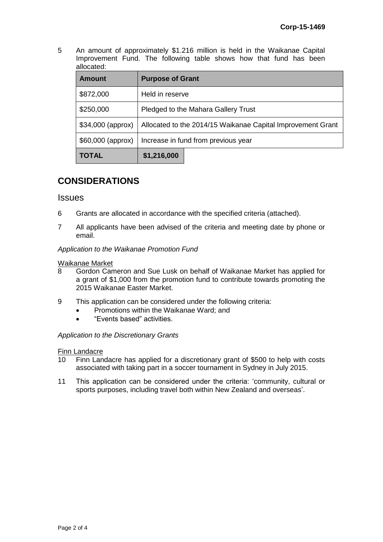5 An amount of approximately \$1.216 million is held in the Waikanae Capital Improvement Fund. The following table shows how that fund has been allocated:

| <b>Amount</b>     | <b>Purpose of Grant</b>                                     |  |  |
|-------------------|-------------------------------------------------------------|--|--|
| \$872,000         | Held in reserve                                             |  |  |
| \$250,000         | Pledged to the Mahara Gallery Trust                         |  |  |
| \$34,000 (approx) | Allocated to the 2014/15 Waikanae Capital Improvement Grant |  |  |
| \$60,000 (approx) | Increase in fund from previous year                         |  |  |
| <b>TOTAL</b>      | \$1,216,000                                                 |  |  |

# **CONSIDERATIONS**

#### **Issues**

- 6 Grants are allocated in accordance with the specified criteria (attached).
- 7 All applicants have been advised of the criteria and meeting date by phone or email.

*Application to the Waikanae Promotion Fund*

# Waikanae Market<br>8 Gordon Car

- 8 Gordon Cameron and Sue Lusk on behalf of Waikanae Market has applied for a grant of \$1,000 from the promotion fund to contribute towards promoting the 2015 Waikanae Easter Market.
- 9 This application can be considered under the following criteria:
	- Promotions within the Waikanae Ward; and
	- "Events based" activities.

#### *Application to the Discretionary Grants*

#### Finn Landacre

- 10 Finn Landacre has applied for a discretionary grant of \$500 to help with costs associated with taking part in a soccer tournament in Sydney in July 2015.
- 11 This application can be considered under the criteria: 'community, cultural or sports purposes, including travel both within New Zealand and overseas'.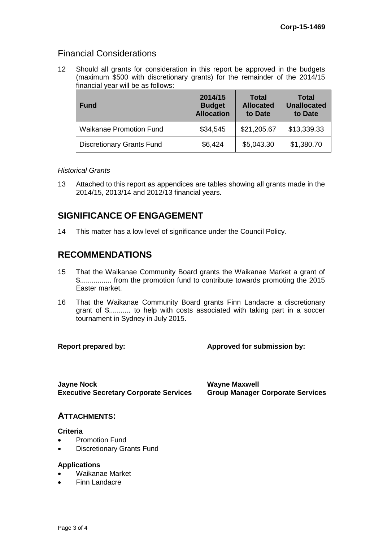## Financial Considerations

12 Should all grants for consideration in this report be approved in the budgets (maximum \$500 with discretionary grants) for the remainder of the 2014/15 financial year will be as follows:

| <b>Fund</b>                      | 2014/15<br><b>Budget</b><br><b>Allocation</b> | <b>Total</b><br><b>Allocated</b><br>to Date | <b>Total</b><br><b>Unallocated</b><br>to Date |
|----------------------------------|-----------------------------------------------|---------------------------------------------|-----------------------------------------------|
| <b>Waikanae Promotion Fund</b>   | \$34,545                                      | \$21,205.67                                 | \$13,339.33                                   |
| <b>Discretionary Grants Fund</b> | \$6,424                                       | \$5,043.30                                  | \$1,380.70                                    |

#### *Historical Grants*

13 Attached to this report as appendices are tables showing all grants made in the 2014/15, 2013/14 and 2012/13 financial years.

# **SIGNIFICANCE OF ENGAGEMENT**

14 This matter has a low level of significance under the Council Policy.

## **RECOMMENDATIONS**

- 15 That the Waikanae Community Board grants the Waikanae Market a grant of \$................ from the promotion fund to contribute towards promoting the 2015 Easter market.
- 16 That the Waikanae Community Board grants Finn Landacre a discretionary grant of \$........... to help with costs associated with taking part in a soccer tournament in Sydney in July 2015.

**Report prepared by: Approved for submission by:**

**Jayne Nock Wayne Maxwell Executive Secretary Corporate Services Group Manager Corporate Services**

#### **ATTACHMENTS:**

#### **Criteria**

- Promotion Fund
- Discretionary Grants Fund

#### **Applications**

- Waikanae Market
- Finn Landacre